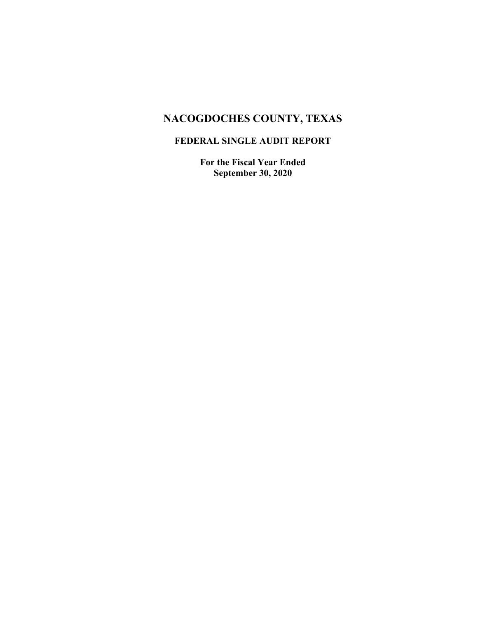# **NACOGDOCHES COUNTY, TEXAS**

## **FEDERAL SINGLE AUDIT REPORT**

**For the Fiscal Year Ended September 30, 2020**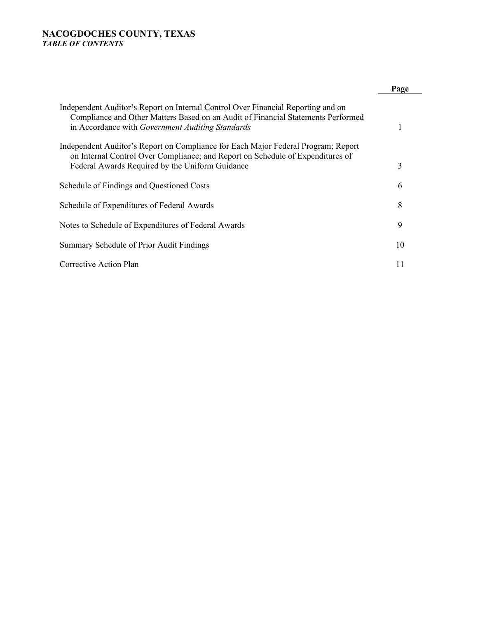#### **NACOGDOCHES COUNTY, TEXAS**  *TABLE OF CONTENTS*

|                                                                                                                                                                                                                          | Page |
|--------------------------------------------------------------------------------------------------------------------------------------------------------------------------------------------------------------------------|------|
| Independent Auditor's Report on Internal Control Over Financial Reporting and on<br>Compliance and Other Matters Based on an Audit of Financial Statements Performed<br>in Accordance with Government Auditing Standards |      |
| Independent Auditor's Report on Compliance for Each Major Federal Program; Report<br>on Internal Control Over Compliance; and Report on Schedule of Expenditures of<br>Federal Awards Required by the Uniform Guidance   | 3    |
| Schedule of Findings and Questioned Costs                                                                                                                                                                                | 6    |
| Schedule of Expenditures of Federal Awards                                                                                                                                                                               | 8    |
| Notes to Schedule of Expenditures of Federal Awards                                                                                                                                                                      | 9    |
| Summary Schedule of Prior Audit Findings                                                                                                                                                                                 | 10   |
| Corrective Action Plan                                                                                                                                                                                                   | 11   |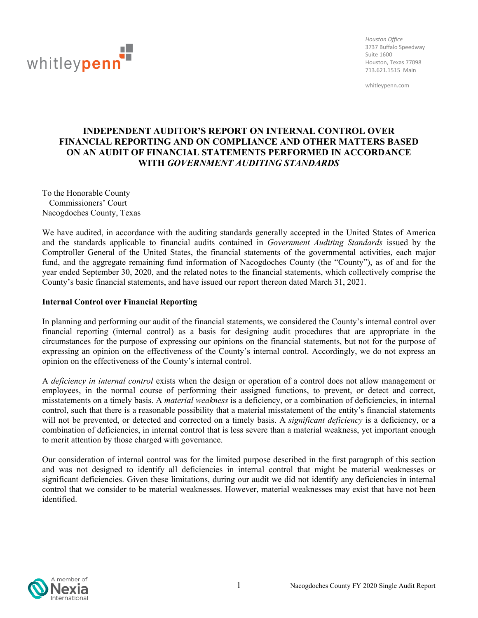

*Houston Office* 3737 Buffalo Speedway Suite 1600 Houston, Texas 77098 713.621.1515 Main

whitleypenn.com

## **INDEPENDENT AUDITOR'S REPORT ON INTERNAL CONTROL OVER FINANCIAL REPORTING AND ON COMPLIANCE AND OTHER MATTERS BASED ON AN AUDIT OF FINANCIAL STATEMENTS PERFORMED IN ACCORDANCE WITH** *GOVERNMENT AUDITING STANDARDS*

To the Honorable County Commissioners' Court Nacogdoches County, Texas

We have audited, in accordance with the auditing standards generally accepted in the United States of America and the standards applicable to financial audits contained in *Government Auditing Standards* issued by the Comptroller General of the United States, the financial statements of the governmental activities, each major fund, and the aggregate remaining fund information of Nacogdoches County (the "County"), as of and for the year ended September 30, 2020, and the related notes to the financial statements, which collectively comprise the County's basic financial statements, and have issued our report thereon dated March 31, 2021.

#### **Internal Control over Financial Reporting**

In planning and performing our audit of the financial statements, we considered the County's internal control over financial reporting (internal control) as a basis for designing audit procedures that are appropriate in the circumstances for the purpose of expressing our opinions on the financial statements, but not for the purpose of expressing an opinion on the effectiveness of the County's internal control. Accordingly, we do not express an opinion on the effectiveness of the County's internal control.

A *deficiency in internal control* exists when the design or operation of a control does not allow management or employees, in the normal course of performing their assigned functions, to prevent, or detect and correct, misstatements on a timely basis. A *material weakness* is a deficiency, or a combination of deficiencies, in internal control, such that there is a reasonable possibility that a material misstatement of the entity's financial statements will not be prevented, or detected and corrected on a timely basis. A *significant deficiency* is a deficiency, or a combination of deficiencies, in internal control that is less severe than a material weakness, yet important enough to merit attention by those charged with governance.

Our consideration of internal control was for the limited purpose described in the first paragraph of this section and was not designed to identify all deficiencies in internal control that might be material weaknesses or significant deficiencies. Given these limitations, during our audit we did not identify any deficiencies in internal control that we consider to be material weaknesses. However, material weaknesses may exist that have not been identified.

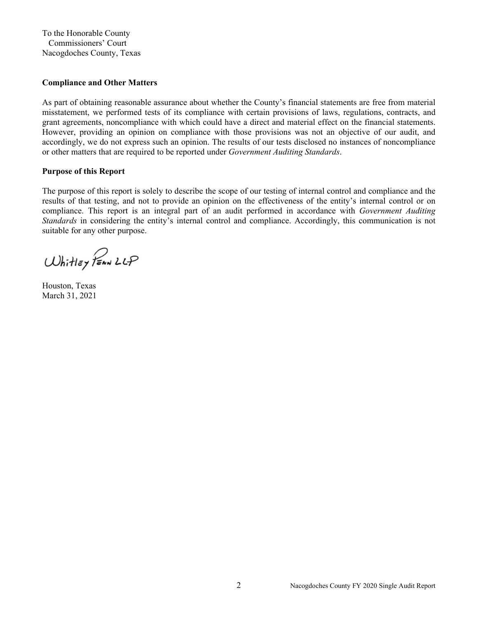To the Honorable County Commissioners' Court Nacogdoches County, Texas

#### **Compliance and Other Matters**

As part of obtaining reasonable assurance about whether the County's financial statements are free from material misstatement, we performed tests of its compliance with certain provisions of laws, regulations, contracts, and grant agreements, noncompliance with which could have a direct and material effect on the financial statements. However, providing an opinion on compliance with those provisions was not an objective of our audit, and accordingly, we do not express such an opinion. The results of our tests disclosed no instances of noncompliance or other matters that are required to be reported under *Government Auditing Standards*.

#### **Purpose of this Report**

The purpose of this report is solely to describe the scope of our testing of internal control and compliance and the results of that testing, and not to provide an opinion on the effectiveness of the entity's internal control or on compliance. This report is an integral part of an audit performed in accordance with *Government Auditing Standards* in considering the entity's internal control and compliance. Accordingly, this communication is not suitable for any other purpose.

Whitley PEAN LLP

Houston, Texas March 31, 2021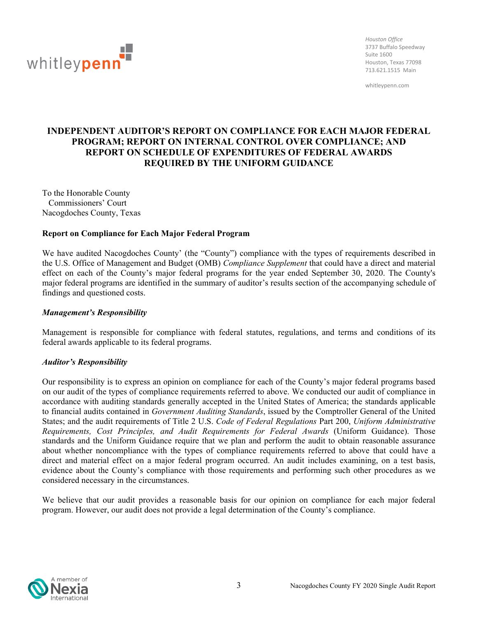

*Houston Office* 3737 Buffalo Speedway Suite 1600 Houston, Texas 77098 713.621.1515 Main

whitleypenn.com

## **INDEPENDENT AUDITOR'S REPORT ON COMPLIANCE FOR EACH MAJOR FEDERAL PROGRAM; REPORT ON INTERNAL CONTROL OVER COMPLIANCE; AND REPORT ON SCHEDULE OF EXPENDITURES OF FEDERAL AWARDS REQUIRED BY THE UNIFORM GUIDANCE**

To the Honorable County Commissioners' Court Nacogdoches County, Texas

#### **Report on Compliance for Each Major Federal Program**

We have audited Nacogdoches County' (the "County") compliance with the types of requirements described in the U.S. Office of Management and Budget (OMB) *Compliance Supplement* that could have a direct and material effect on each of the County's major federal programs for the year ended September 30, 2020. The County's major federal programs are identified in the summary of auditor's results section of the accompanying schedule of findings and questioned costs.

#### *Management's Responsibility*

Management is responsible for compliance with federal statutes, regulations, and terms and conditions of its federal awards applicable to its federal programs.

#### *Auditor's Responsibility*

Our responsibility is to express an opinion on compliance for each of the County's major federal programs based on our audit of the types of compliance requirements referred to above. We conducted our audit of compliance in accordance with auditing standards generally accepted in the United States of America; the standards applicable to financial audits contained in *Government Auditing Standards*, issued by the Comptroller General of the United States; and the audit requirements of Title 2 U.S. *Code of Federal Regulations* Part 200, *Uniform Administrative Requirements, Cost Principles, and Audit Requirements for Federal Awards* (Uniform Guidance). Those standards and the Uniform Guidance require that we plan and perform the audit to obtain reasonable assurance about whether noncompliance with the types of compliance requirements referred to above that could have a direct and material effect on a major federal program occurred. An audit includes examining, on a test basis, evidence about the County's compliance with those requirements and performing such other procedures as we considered necessary in the circumstances.

We believe that our audit provides a reasonable basis for our opinion on compliance for each major federal program. However, our audit does not provide a legal determination of the County's compliance.

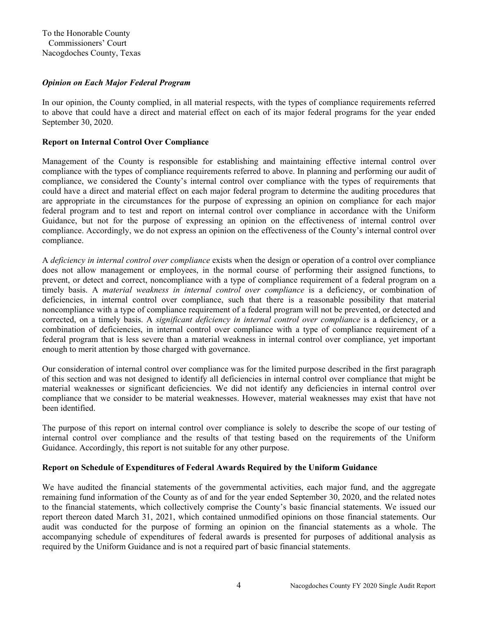#### *Opinion on Each Major Federal Program*

In our opinion, the County complied, in all material respects, with the types of compliance requirements referred to above that could have a direct and material effect on each of its major federal programs for the year ended September 30, 2020.

#### **Report on Internal Control Over Compliance**

Management of the County is responsible for establishing and maintaining effective internal control over compliance with the types of compliance requirements referred to above. In planning and performing our audit of compliance, we considered the County's internal control over compliance with the types of requirements that could have a direct and material effect on each major federal program to determine the auditing procedures that are appropriate in the circumstances for the purpose of expressing an opinion on compliance for each major federal program and to test and report on internal control over compliance in accordance with the Uniform Guidance, but not for the purpose of expressing an opinion on the effectiveness of internal control over compliance. Accordingly, we do not express an opinion on the effectiveness of the County's internal control over compliance.

A *deficiency in internal control over compliance* exists when the design or operation of a control over compliance does not allow management or employees, in the normal course of performing their assigned functions, to prevent, or detect and correct, noncompliance with a type of compliance requirement of a federal program on a timely basis. A *material weakness in internal control over compliance* is a deficiency, or combination of deficiencies, in internal control over compliance, such that there is a reasonable possibility that material noncompliance with a type of compliance requirement of a federal program will not be prevented, or detected and corrected, on a timely basis. A *significant deficiency in internal control over compliance* is a deficiency, or a combination of deficiencies, in internal control over compliance with a type of compliance requirement of a federal program that is less severe than a material weakness in internal control over compliance, yet important enough to merit attention by those charged with governance.

Our consideration of internal control over compliance was for the limited purpose described in the first paragraph of this section and was not designed to identify all deficiencies in internal control over compliance that might be material weaknesses or significant deficiencies. We did not identify any deficiencies in internal control over compliance that we consider to be material weaknesses. However, material weaknesses may exist that have not been identified.

The purpose of this report on internal control over compliance is solely to describe the scope of our testing of internal control over compliance and the results of that testing based on the requirements of the Uniform Guidance. Accordingly, this report is not suitable for any other purpose.

#### **Report on Schedule of Expenditures of Federal Awards Required by the Uniform Guidance**

We have audited the financial statements of the governmental activities, each major fund, and the aggregate remaining fund information of the County as of and for the year ended September 30, 2020, and the related notes to the financial statements, which collectively comprise the County's basic financial statements. We issued our report thereon dated March 31, 2021, which contained unmodified opinions on those financial statements. Our audit was conducted for the purpose of forming an opinion on the financial statements as a whole. The accompanying schedule of expenditures of federal awards is presented for purposes of additional analysis as required by the Uniform Guidance and is not a required part of basic financial statements.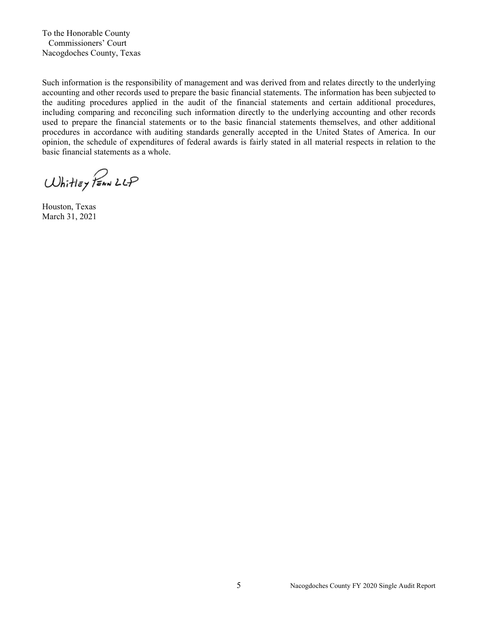To the Honorable County Commissioners' Court Nacogdoches County, Texas

Such information is the responsibility of management and was derived from and relates directly to the underlying accounting and other records used to prepare the basic financial statements. The information has been subjected to the auditing procedures applied in the audit of the financial statements and certain additional procedures, including comparing and reconciling such information directly to the underlying accounting and other records used to prepare the financial statements or to the basic financial statements themselves, and other additional procedures in accordance with auditing standards generally accepted in the United States of America. In our opinion, the schedule of expenditures of federal awards is fairly stated in all material respects in relation to the basic financial statements as a whole.

Whitley PEAN LLP

Houston, Texas March 31, 2021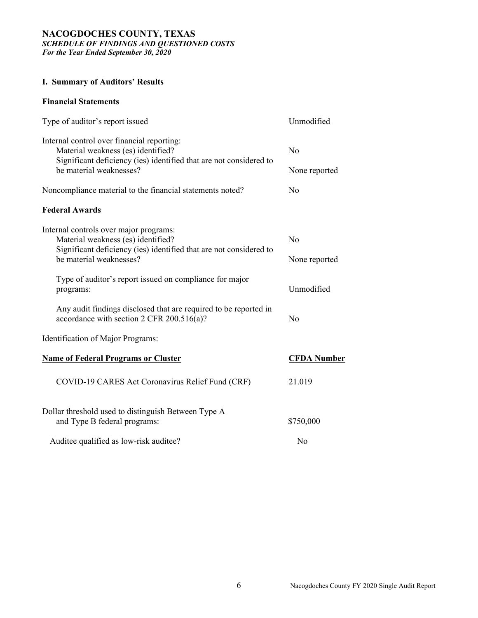#### **NACOGDOCHES COUNTY, TEXAS**  *SCHEDULE OF FINDINGS AND QUESTIONED COSTS For the Year Ended September 30, 2020*

#### **I. Summary of Auditors' Results**

#### **Financial Statements**

| Type of auditor's report issued                                                                                                                        | Unmodified         |
|--------------------------------------------------------------------------------------------------------------------------------------------------------|--------------------|
| Internal control over financial reporting:<br>Material weakness (es) identified?<br>Significant deficiency (ies) identified that are not considered to | N <sub>o</sub>     |
| be material weaknesses?                                                                                                                                | None reported      |
| Noncompliance material to the financial statements noted?                                                                                              | $\rm No$           |
| <b>Federal Awards</b>                                                                                                                                  |                    |
| Internal controls over major programs:<br>Material weakness (es) identified?<br>Significant deficiency (ies) identified that are not considered to     | No                 |
| be material weaknesses?                                                                                                                                | None reported      |
| Type of auditor's report issued on compliance for major<br>programs:                                                                                   | Unmodified         |
| Any audit findings disclosed that are required to be reported in<br>accordance with section 2 CFR 200.516(a)?                                          | No                 |
| Identification of Major Programs:                                                                                                                      |                    |
| <b>Name of Federal Programs or Cluster</b>                                                                                                             | <b>CFDA</b> Number |
| COVID-19 CARES Act Coronavirus Relief Fund (CRF)                                                                                                       | 21.019             |
| Dollar threshold used to distinguish Between Type A<br>and Type B federal programs:                                                                    | \$750,000          |
| Auditee qualified as low-risk auditee?                                                                                                                 | No                 |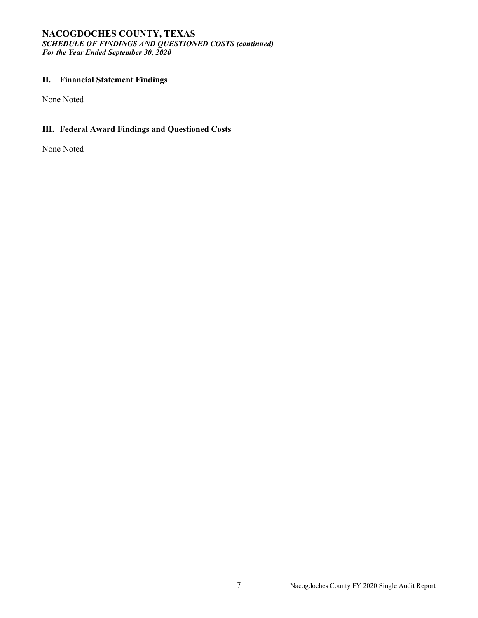#### **NACOGDOCHES COUNTY, TEXAS**  *SCHEDULE OF FINDINGS AND QUESTIONED COSTS (continued) For the Year Ended September 30, 2020*

## **II. Financial Statement Findings**

None Noted

## **III. Federal Award Findings and Questioned Costs**

None Noted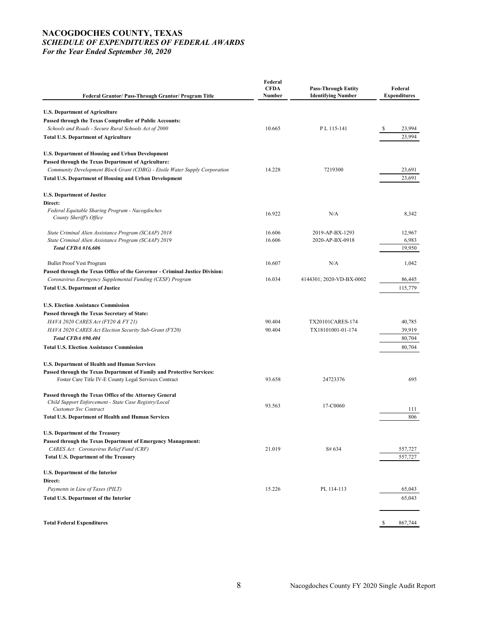#### **NACOGDOCHES COUNTY, TEXAS**  *SCHEDULE OF EXPENDITURES OF FEDERAL AWARDS For the Year Ended September 30, 2020*

| <b>Federal Grantor/ Pass-Through Grantor/ Program Title</b>                  | Federal<br><b>CFDA</b><br><b>Number</b> | <b>Pass-Through Entity</b><br><b>Identifying Number</b> | Federal<br><b>Expenditures</b> |
|------------------------------------------------------------------------------|-----------------------------------------|---------------------------------------------------------|--------------------------------|
| <b>U.S. Department of Agriculture</b>                                        |                                         |                                                         |                                |
| Passed through the Texas Comptroller of Public Accounts:                     |                                         |                                                         |                                |
| Schools and Roads - Secure Rural Schools Act of 2000                         | 10.665                                  | PL 115-141                                              | 23,994<br>\$.                  |
| <b>Total U.S. Department of Agriculture</b>                                  |                                         |                                                         | 23,994                         |
| <b>U.S. Department of Housing and Urban Development</b>                      |                                         |                                                         |                                |
| Passed through the Texas Department of Agriculture:                          |                                         |                                                         |                                |
| Community Development Block Grant (CDBG) - Etoile Water Supply Corporation   | 14.228                                  | 7219300                                                 | 23,691                         |
| <b>Total U.S. Department of Housing and Urban Development</b>                |                                         |                                                         | 23,691                         |
| <b>U.S. Department of Justice</b>                                            |                                         |                                                         |                                |
| Direct:                                                                      |                                         |                                                         |                                |
| Federal Equitable Sharing Program - Nacogdoches<br>County Sheriff's Office   | 16.922                                  | N/A                                                     | 8,342                          |
| State Criminal Alien Assistance Program (SCAAP) 2018                         | 16.606                                  | 2019-AP-BX-1293                                         | 12,967                         |
| State Criminal Alien Assistance Program (SCAAP) 2019                         | 16.606                                  | 2020-AP-BX-0918                                         | 6,983                          |
| <b>Total CFDA #16.606</b>                                                    |                                         |                                                         | 19,950                         |
| <b>Bullet Proof Vest Program</b>                                             | 16.607                                  | N/A                                                     | 1,042                          |
| Passed through the Texas Office of the Governor - Criminal Justice Division: |                                         |                                                         |                                |
| Coronavirus Emergency Supplemental Funding (CESF) Program                    | 16.034                                  | 4144301; 2020-VD-BX-0002                                | 86,445                         |
| <b>Total U.S. Department of Justice</b>                                      |                                         |                                                         | 115,779                        |
| <b>U.S. Election Assistance Commission</b>                                   |                                         |                                                         |                                |
| Passed through the Texas Secretary of State:                                 |                                         |                                                         |                                |
| HAVA 2020 CARES Act (FY20 & FY 21)                                           | 90.404                                  | TX20101CARES-174                                        | 40,785                         |
| HAVA 2020 CARES Act Election Security Sub-Grant (FY20)                       | 90.404                                  | TX18101001-01-174                                       | 39,919                         |
| Total CFDA #90.404                                                           |                                         |                                                         | 80,704                         |
| <b>Total U.S. Election Assistance Commission</b>                             |                                         |                                                         | 80,704                         |
| U.S. Department of Health and Human Services                                 |                                         |                                                         |                                |
| Passed through the Texas Department of Family and Protective Services:       |                                         |                                                         |                                |
| Foster Care Title IV-E County Legal Services Contract                        | 93.658                                  | 24723376                                                | 695                            |
| Passed through the Texas Office of the Attorney General                      |                                         |                                                         |                                |
| Child Support Enforcement - State Case Registry/Local                        | 93.563                                  | 17-C0060                                                |                                |
| <b>Customer Syc Contract</b>                                                 |                                         |                                                         | 111                            |
| <b>Total U.S. Department of Health and Human Services</b>                    |                                         |                                                         | 806                            |
| <b>U.S. Department of the Treasury</b>                                       |                                         |                                                         |                                |
| Passed through the Texas Department of Emergency Management:                 |                                         |                                                         |                                |
| CARES Act: Coronavirus Relief Fund (CRF)                                     | 21.019                                  | S# 634                                                  | 557,727                        |
| <b>Total U.S. Department of the Treasury</b>                                 |                                         |                                                         | 557,727                        |
| <b>U.S. Department of the Interior</b>                                       |                                         |                                                         |                                |
| Direct:<br>Payments in Lieu of Taxes (PILT)                                  | 15.226                                  | PL 114-113                                              | 65,043                         |
|                                                                              |                                         |                                                         |                                |
| <b>Total U.S. Department of the Interior</b>                                 |                                         |                                                         | 65,043                         |
|                                                                              |                                         |                                                         |                                |
| <b>Total Federal Expenditures</b>                                            |                                         |                                                         | 867,744<br>S                   |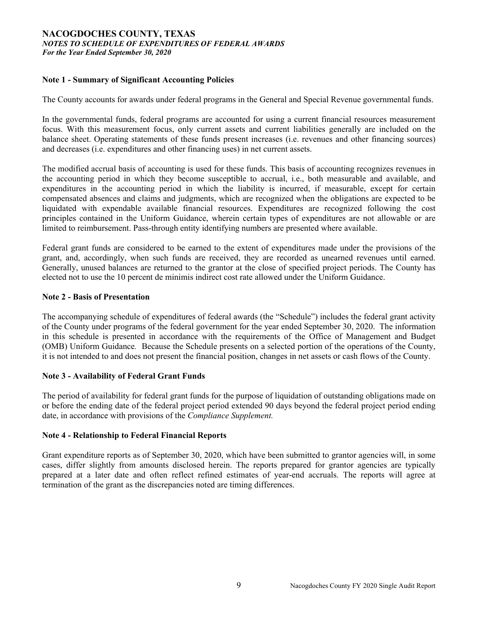#### **NACOGDOCHES COUNTY, TEXAS**  *NOTES TO SCHEDULE OF EXPENDITURES OF FEDERAL AWARDS For the Year Ended September 30, 2020*

#### **Note 1 - Summary of Significant Accounting Policies**

The County accounts for awards under federal programs in the General and Special Revenue governmental funds.

In the governmental funds, federal programs are accounted for using a current financial resources measurement focus. With this measurement focus, only current assets and current liabilities generally are included on the balance sheet. Operating statements of these funds present increases (i.e. revenues and other financing sources) and decreases (i.e. expenditures and other financing uses) in net current assets.

The modified accrual basis of accounting is used for these funds. This basis of accounting recognizes revenues in the accounting period in which they become susceptible to accrual, i.e., both measurable and available, and expenditures in the accounting period in which the liability is incurred, if measurable, except for certain compensated absences and claims and judgments, which are recognized when the obligations are expected to be liquidated with expendable available financial resources. Expenditures are recognized following the cost principles contained in the Uniform Guidance, wherein certain types of expenditures are not allowable or are limited to reimbursement. Pass-through entity identifying numbers are presented where available.

Federal grant funds are considered to be earned to the extent of expenditures made under the provisions of the grant, and, accordingly, when such funds are received, they are recorded as unearned revenues until earned. Generally, unused balances are returned to the grantor at the close of specified project periods. The County has elected not to use the 10 percent de minimis indirect cost rate allowed under the Uniform Guidance.

#### **Note 2 - Basis of Presentation**

The accompanying schedule of expenditures of federal awards (the "Schedule") includes the federal grant activity of the County under programs of the federal government for the year ended September 30, 2020. The information in this schedule is presented in accordance with the requirements of the Office of Management and Budget (OMB) Uniform Guidance*.* Because the Schedule presents on a selected portion of the operations of the County, it is not intended to and does not present the financial position, changes in net assets or cash flows of the County.

#### **Note 3 - Availability of Federal Grant Funds**

The period of availability for federal grant funds for the purpose of liquidation of outstanding obligations made on or before the ending date of the federal project period extended 90 days beyond the federal project period ending date, in accordance with provisions of the *Compliance Supplement.* 

#### **Note 4 - Relationship to Federal Financial Reports**

Grant expenditure reports as of September 30, 2020, which have been submitted to grantor agencies will, in some cases, differ slightly from amounts disclosed herein. The reports prepared for grantor agencies are typically prepared at a later date and often reflect refined estimates of year-end accruals. The reports will agree at termination of the grant as the discrepancies noted are timing differences.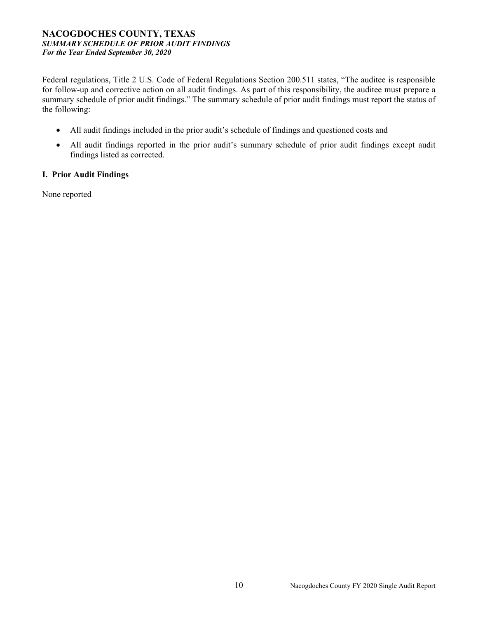#### **NACOGDOCHES COUNTY, TEXAS**  *SUMMARY SCHEDULE OF PRIOR AUDIT FINDINGS For the Year Ended September 30, 2020*

Federal regulations, Title 2 U.S. Code of Federal Regulations Section 200.511 states, "The auditee is responsible for follow-up and corrective action on all audit findings. As part of this responsibility, the auditee must prepare a summary schedule of prior audit findings." The summary schedule of prior audit findings must report the status of the following:

- All audit findings included in the prior audit's schedule of findings and questioned costs and
- All audit findings reported in the prior audit's summary schedule of prior audit findings except audit findings listed as corrected.

#### **I. Prior Audit Findings**

None reported